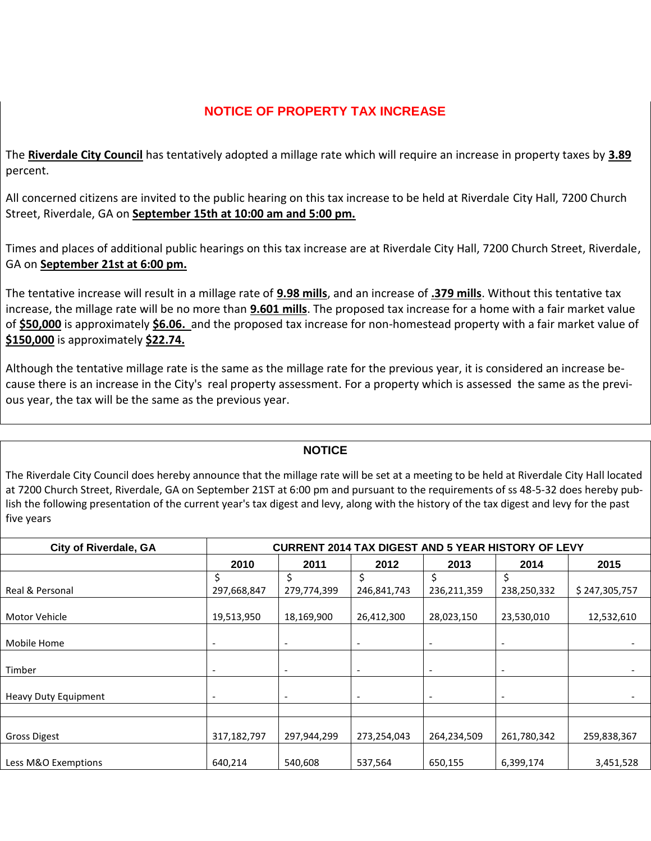## **NOTICE OF PROPERTY TAX INCREASE**

The **Riverdale City Council** has tentatively adopted a millage rate which will require an increase in property taxes by **3.89** percent.

All concerned citizens are invited to the public hearing on this tax increase to be held at Riverdale City Hall, 7200 Church Street, Riverdale, GA on **September 15th at 10:00 am and 5:00 pm.**

Times and places of additional public hearings on this tax increase are at Riverdale City Hall, 7200 Church Street, Riverdale, GA on **September 21st at 6:00 pm.**

The tentative increase will result in a millage rate of **9.98 mills**, and an increase of **.379 mills**. Without this tentative tax increase, the millage rate will be no more than **9.601 mills**. The proposed tax increase for a home with a fair market value of **\$50,000** is approximately **\$6.06.** and the proposed tax increase for non-homestead property with a fair market value of **\$150,000** is approximately **\$22.74.**

Although the tentative millage rate is the same as the millage rate for the previous year, it is considered an increase because there is an increase in the City's real property assessment. For a property which is assessed the same as the previous year, the tax will be the same as the previous year.

## **NOTICE**

The Riverdale City Council does hereby announce that the millage rate will be set at a meeting to be held at Riverdale City Hall located at 7200 Church Street, Riverdale, GA on September 21ST at 6:00 pm and pursuant to the requirements of ss 48-5-32 does hereby publish the following presentation of the current year's tax digest and levy, along with the history of the tax digest and levy for the past five years

| <b>City of Riverdale, GA</b> | <b>CURRENT 2014 TAX DIGEST AND 5 YEAR HISTORY OF LEVY</b> |                          |                          |                          |                          |               |  |  |  |
|------------------------------|-----------------------------------------------------------|--------------------------|--------------------------|--------------------------|--------------------------|---------------|--|--|--|
|                              | 2010                                                      | 2011                     | 2012                     | 2013                     | 2014                     | 2015          |  |  |  |
|                              | Ś                                                         |                          | Ś                        | \$                       | \$                       |               |  |  |  |
| Real & Personal              | 297,668,847                                               | 279,774,399              | 246,841,743              | 236,211,359              | 238,250,332              | \$247,305,757 |  |  |  |
| Motor Vehicle                | 19,513,950                                                | 18,169,900               | 26,412,300               | 28,023,150               | 23,530,010               | 12,532,610    |  |  |  |
| Mobile Home                  | $\overline{\phantom{a}}$                                  | $\overline{\phantom{a}}$ | $\overline{\phantom{a}}$ | $\overline{\phantom{a}}$ | $\overline{\phantom{a}}$ |               |  |  |  |
| Timber                       | $\overline{\phantom{a}}$                                  | $\overline{\phantom{a}}$ | $\overline{\phantom{a}}$ | $\overline{\phantom{a}}$ |                          |               |  |  |  |
| <b>Heavy Duty Equipment</b>  | $\overline{\phantom{a}}$                                  | $\overline{\phantom{a}}$ | $\overline{\phantom{a}}$ | $\overline{\phantom{a}}$ | $\overline{\phantom{a}}$ |               |  |  |  |
|                              |                                                           |                          |                          |                          |                          |               |  |  |  |
| <b>Gross Digest</b>          | 317,182,797                                               | 297,944,299              | 273,254,043              | 264,234,509              | 261,780,342              | 259,838,367   |  |  |  |
| Less M&O Exemptions          | 640,214                                                   | 540,608                  | 537,564                  | 650,155                  | 6,399,174                | 3,451,528     |  |  |  |